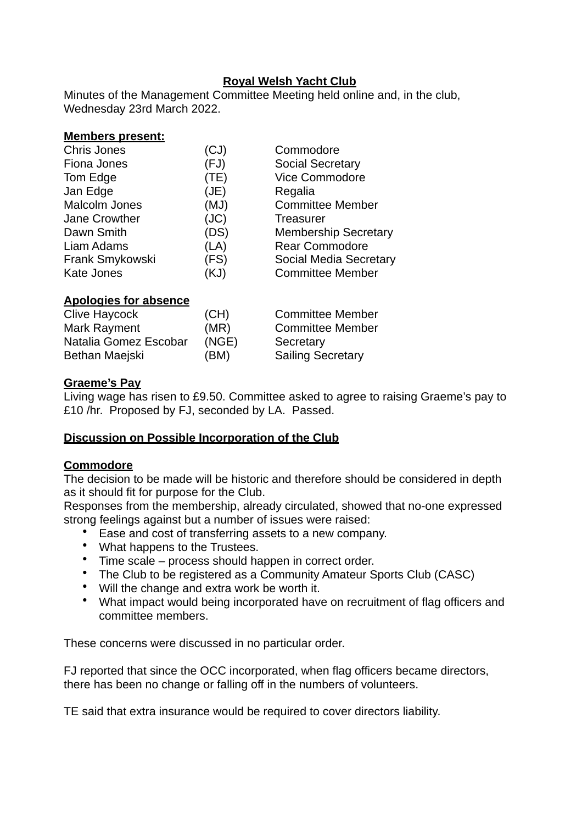## **Royal Welsh Yacht Club**

Minutes of the Management Committee Meeting held online and, in the club, Wednesday 23rd March 2022.

#### **Members present:**

| <b>Chris Jones</b> | (CJ) | Commodore                   |
|--------------------|------|-----------------------------|
| Fiona Jones        | (FJ) | <b>Social Secretary</b>     |
| Tom Edge           | (TE) | <b>Vice Commodore</b>       |
| Jan Edge           | (JE) | Regalia                     |
| Malcolm Jones      | (MJ) | <b>Committee Member</b>     |
| Jane Crowther      | (JC) | <b>Treasurer</b>            |
| Dawn Smith         | (DS) | <b>Membership Secretary</b> |
| Liam Adams         | (LA) | <b>Rear Commodore</b>       |
| Frank Smykowski    | (FS) | Social Media Secretary      |
| Kate Jones         | (KJ) | <b>Committee Member</b>     |
|                    |      |                             |
|                    |      |                             |

### **Apologies for absence**

| Clive Haycock         | (CH)  | <b>Committee Member</b>  |
|-----------------------|-------|--------------------------|
| Mark Rayment          | (MR)  | <b>Committee Member</b>  |
| Natalia Gomez Escobar | (NGE) | Secretary                |
| Bethan Maejski        | (BM)  | <b>Sailing Secretary</b> |

#### **Graeme's Pay**

Living wage has risen to £9.50. Committee asked to agree to raising Graeme's pay to £10 /hr. Proposed by FJ, seconded by LA. Passed.

## **Discussion on Possible Incorporation of the Club**

#### **Commodore**

The decision to be made will be historic and therefore should be considered in depth as it should fit for purpose for the Club.

Responses from the membership, already circulated, showed that no-one expressed strong feelings against but a number of issues were raised:

- Ease and cost of transferring assets to a new company.
- What happens to the Trustees.
- Time scale process should happen in correct order.
- The Club to be registered as a Community Amateur Sports Club (CASC)
- Will the change and extra work be worth it.
- What impact would being incorporated have on recruitment of flag officers and committee members.

These concerns were discussed in no particular order.

FJ reported that since the OCC incorporated, when flag officers became directors, there has been no change or falling off in the numbers of volunteers.

TE said that extra insurance would be required to cover directors liability.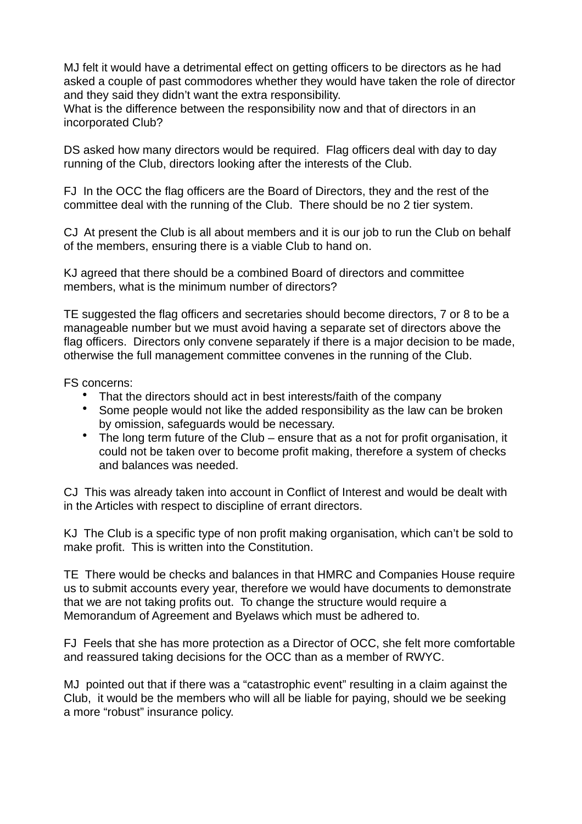MJ felt it would have a detrimental effect on getting officers to be directors as he had asked a couple of past commodores whether they would have taken the role of director and they said they didn't want the extra responsibility.

What is the difference between the responsibility now and that of directors in an incorporated Club?

DS asked how many directors would be required. Flag officers deal with day to day running of the Club, directors looking after the interests of the Club.

FJ In the OCC the flag officers are the Board of Directors, they and the rest of the committee deal with the running of the Club. There should be no 2 tier system.

CJ At present the Club is all about members and it is our job to run the Club on behalf of the members, ensuring there is a viable Club to hand on.

KJ agreed that there should be a combined Board of directors and committee members, what is the minimum number of directors?

TE suggested the flag officers and secretaries should become directors, 7 or 8 to be a manageable number but we must avoid having a separate set of directors above the flag officers. Directors only convene separately if there is a major decision to be made, otherwise the full management committee convenes in the running of the Club.

FS concerns:

- That the directors should act in best interests/faith of the company
- Some people would not like the added responsibility as the law can be broken by omission, safeguards would be necessary.
- The long term future of the Club ensure that as a not for profit organisation, it could not be taken over to become profit making, therefore a system of checks and balances was needed.

CJ This was already taken into account in Conflict of Interest and would be dealt with in the Articles with respect to discipline of errant directors.

KJ The Club is a specific type of non profit making organisation, which can't be sold to make profit. This is written into the Constitution.

TE There would be checks and balances in that HMRC and Companies House require us to submit accounts every year, therefore we would have documents to demonstrate that we are not taking profits out. To change the structure would require a Memorandum of Agreement and Byelaws which must be adhered to.

FJ Feels that she has more protection as a Director of OCC, she felt more comfortable and reassured taking decisions for the OCC than as a member of RWYC.

MJ pointed out that if there was a "catastrophic event" resulting in a claim against the Club, it would be the members who will all be liable for paying, should we be seeking a more "robust" insurance policy.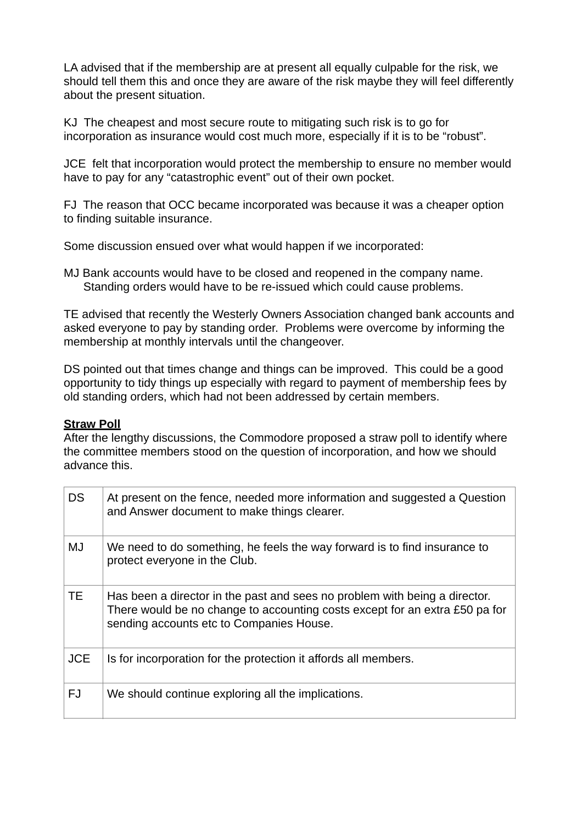LA advised that if the membership are at present all equally culpable for the risk, we should tell them this and once they are aware of the risk maybe they will feel differently about the present situation.

KJ The cheapest and most secure route to mitigating such risk is to go for incorporation as insurance would cost much more, especially if it is to be "robust".

JCE felt that incorporation would protect the membership to ensure no member would have to pay for any "catastrophic event" out of their own pocket.

FJ The reason that OCC became incorporated was because it was a cheaper option to finding suitable insurance.

Some discussion ensued over what would happen if we incorporated:

MJ Bank accounts would have to be closed and reopened in the company name. Standing orders would have to be re-issued which could cause problems.

TE advised that recently the Westerly Owners Association changed bank accounts and asked everyone to pay by standing order. Problems were overcome by informing the membership at monthly intervals until the changeover.

DS pointed out that times change and things can be improved. This could be a good opportunity to tidy things up especially with regard to payment of membership fees by old standing orders, which had not been addressed by certain members.

#### **Straw Poll**

After the lengthy discussions, the Commodore proposed a straw poll to identify where the committee members stood on the question of incorporation, and how we should advance this.

| <b>DS</b>  | At present on the fence, needed more information and suggested a Question<br>and Answer document to make things clearer.                                                                              |
|------------|-------------------------------------------------------------------------------------------------------------------------------------------------------------------------------------------------------|
| <b>MJ</b>  | We need to do something, he feels the way forward is to find insurance to<br>protect everyone in the Club.                                                                                            |
| <b>TE</b>  | Has been a director in the past and sees no problem with being a director.<br>There would be no change to accounting costs except for an extra £50 pa for<br>sending accounts etc to Companies House. |
| <b>JCE</b> | Is for incorporation for the protection it affords all members.                                                                                                                                       |
| <b>FJ</b>  | We should continue exploring all the implications.                                                                                                                                                    |